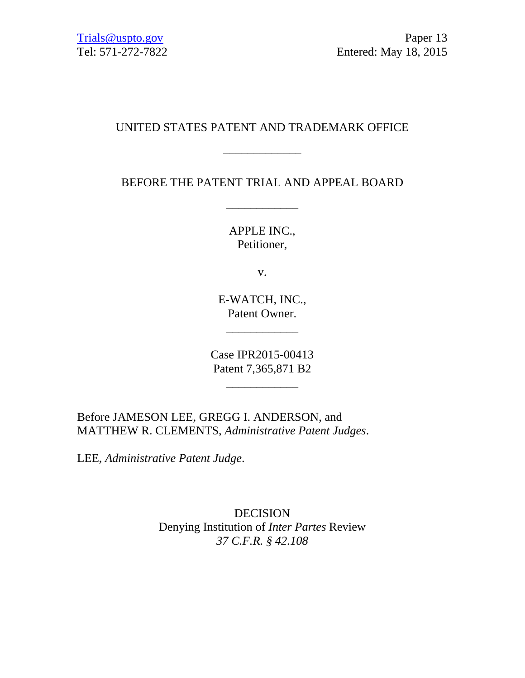# UNITED STATES PATENT AND TRADEMARK OFFICE

\_\_\_\_\_\_\_\_\_\_\_\_\_

# BEFORE THE PATENT TRIAL AND APPEAL BOARD

\_\_\_\_\_\_\_\_\_\_\_\_

APPLE INC., Petitioner,

v.

E-WATCH, INC., Patent Owner.

\_\_\_\_\_\_\_\_\_\_\_\_

Case IPR2015-00413 Patent 7,365,871 B2

\_\_\_\_\_\_\_\_\_\_\_\_

Before JAMESON LEE, GREGG I. ANDERSON, and MATTHEW R. CLEMENTS, *Administrative Patent Judges*.

LEE, *Administrative Patent Judge*.

DECISION Denying Institution of *Inter Partes* Review *37 C.F.R. § 42.108*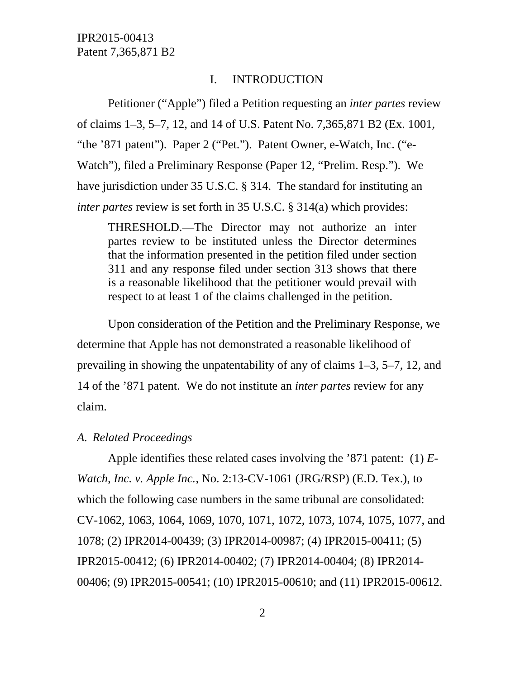#### I. INTRODUCTION

Petitioner ("Apple") filed a Petition requesting an *inter partes* review of claims 1–3, 5–7, 12, and 14 of U.S. Patent No. 7,365,871 B2 (Ex. 1001, "the '871 patent"). Paper 2 ("Pet."). Patent Owner, e-Watch, Inc. ("e-Watch"), filed a Preliminary Response (Paper 12, "Prelim. Resp."). We have jurisdiction under 35 U.S.C. § 314. The standard for instituting an *inter partes* review is set forth in 35 U.S.C. § 314(a) which provides:

THRESHOLD.—The Director may not authorize an inter partes review to be instituted unless the Director determines that the information presented in the petition filed under section 311 and any response filed under section 313 shows that there is a reasonable likelihood that the petitioner would prevail with respect to at least 1 of the claims challenged in the petition.

Upon consideration of the Petition and the Preliminary Response, we determine that Apple has not demonstrated a reasonable likelihood of prevailing in showing the unpatentability of any of claims 1–3, 5–7, 12, and 14 of the '871 patent. We do not institute an *inter partes* review for any claim.

### *A. Related Proceedings*

Apple identifies these related cases involving the '871 patent: (1) *E-Watch, Inc. v. Apple Inc.*, No. 2:13-CV-1061 (JRG/RSP) (E.D. Tex.), to which the following case numbers in the same tribunal are consolidated: CV-1062, 1063, 1064, 1069, 1070, 1071, 1072, 1073, 1074, 1075, 1077, and 1078; (2) IPR2014-00439; (3) IPR2014-00987; (4) IPR2015-00411; (5) IPR2015-00412; (6) IPR2014-00402; (7) IPR2014-00404; (8) IPR2014- 00406; (9) IPR2015-00541; (10) IPR2015-00610; and (11) IPR2015-00612.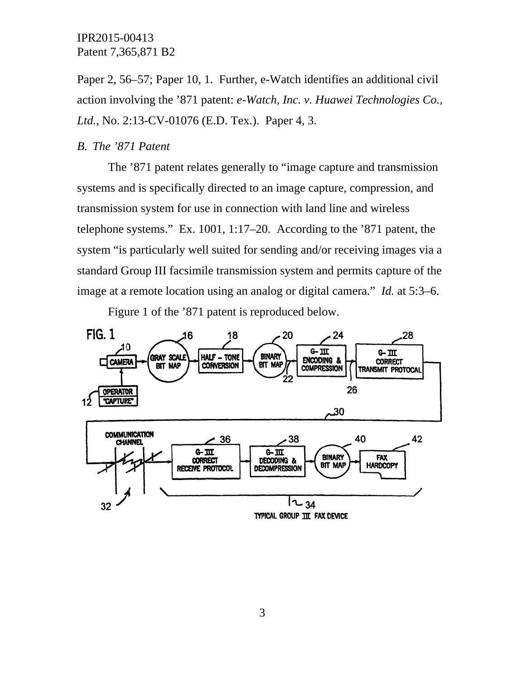Paper 2, 56–57; Paper 10, 1. Further, e-Watch identifies an additional civil action involving the '871 patent: *e-Watch, Inc. v. Huawei Technologies Co., Ltd.*, No. 2:13-CV-01076 (E.D. Tex.). Paper 4, 3.

#### *B. The '871 Patent*

The '871 patent relates generally to "image capture and transmission systems and is specifically directed to an image capture, compression, and transmission system for use in connection with land line and wireless telephone systems." Ex. 1001, 1:17–20. According to the '871 patent, the system "is particularly well suited for sending and/or receiving images via a standard Group III facsimile transmission system and permits capture of the image at a remote location using an analog or digital camera." *Id.* at 5:3–6.

Figure 1 of the '871 patent is reproduced below.

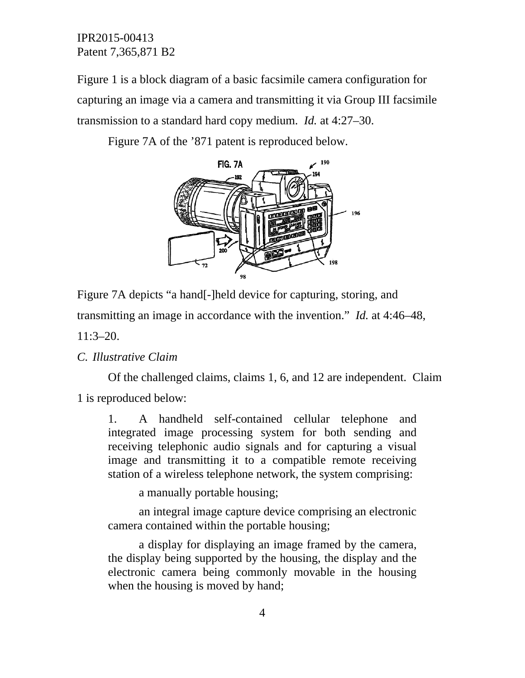Figure 1 is a block diagram of a basic facsimile camera configuration for capturing an image via a camera and transmitting it via Group III facsimile transmission to a standard hard copy medium. *Id.* at 4:27–30.

Figure 7A of the '871 patent is reproduced below.



Figure 7A depicts "a hand[-]held device for capturing, storing, and

transmitting an image in accordance with the invention." *Id.* at 4:46–48,

11:3–20.

### *C. Illustrative Claim*

Of the challenged claims, claims 1, 6, and 12 are independent. Claim 1 is reproduced below:

1. A handheld self-contained cellular telephone and integrated image processing system for both sending and receiving telephonic audio signals and for capturing a visual image and transmitting it to a compatible remote receiving station of a wireless telephone network, the system comprising:

a manually portable housing;

an integral image capture device comprising an electronic camera contained within the portable housing;

a display for displaying an image framed by the camera, the display being supported by the housing, the display and the electronic camera being commonly movable in the housing when the housing is moved by hand;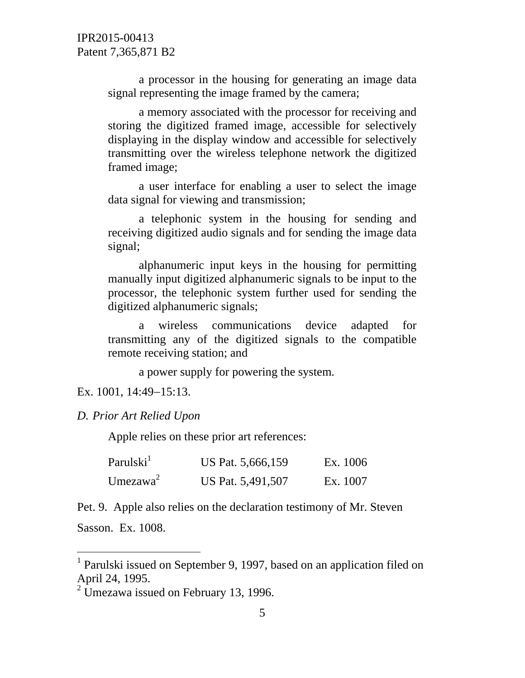a processor in the housing for generating an image data signal representing the image framed by the camera;

a memory associated with the processor for receiving and storing the digitized framed image, accessible for selectively displaying in the display window and accessible for selectively transmitting over the wireless telephone network the digitized framed image;

a user interface for enabling a user to select the image data signal for viewing and transmission;

a telephonic system in the housing for sending and receiving digitized audio signals and for sending the image data signal;

alphanumeric input keys in the housing for permitting manually input digitized alphanumeric signals to be input to the processor, the telephonic system further used for sending the digitized alphanumeric signals;

a wireless communications device adapted for transmitting any of the digitized signals to the compatible remote receiving station; and

a power supply for powering the system.

Ex. 1001, 14:49-15:13.

### *D. Prior Art Relied Upon*

Apple relies on these prior art references:

| Parulski $^1$ | US Pat. 5,666,159 | Ex. 1006 |
|---------------|-------------------|----------|
| Umezawa $2$   | US Pat. 5,491,507 | Ex. 1007 |

Pet. 9. Apple also relies on the declaration testimony of Mr. Steven

Sasson. Ex. 1008.

 $\overline{a}$ 

<sup>&</sup>lt;sup>1</sup> Parulski issued on September 9, 1997, based on an application filed on April 24, 1995.

 $2$  Umezawa issued on February 13, 1996.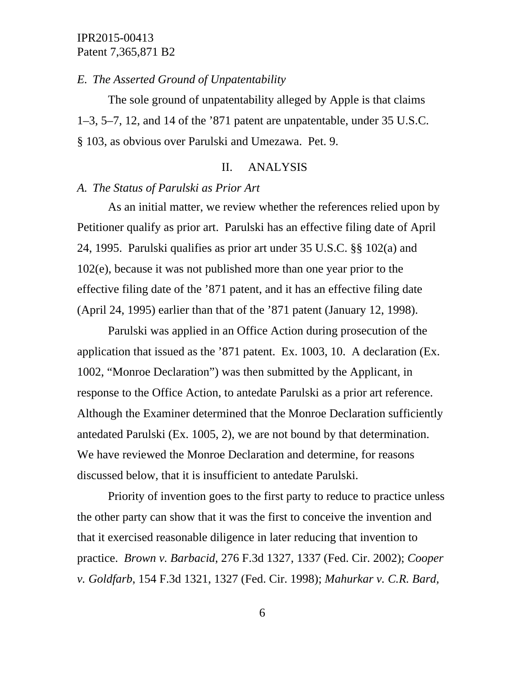#### *E. The Asserted Ground of Unpatentability*

The sole ground of unpatentability alleged by Apple is that claims 1–3, 5–7, 12, and 14 of the '871 patent are unpatentable, under 35 U.S.C. § 103, as obvious over Parulski and Umezawa. Pet. 9.

## II. ANALYSIS

### *A. The Status of Parulski as Prior Art*

As an initial matter, we review whether the references relied upon by Petitioner qualify as prior art. Parulski has an effective filing date of April 24, 1995. Parulski qualifies as prior art under 35 U.S.C. §§ 102(a) and 102(e), because it was not published more than one year prior to the effective filing date of the '871 patent, and it has an effective filing date (April 24, 1995) earlier than that of the '871 patent (January 12, 1998).

Parulski was applied in an Office Action during prosecution of the application that issued as the '871 patent. Ex. 1003, 10. A declaration (Ex. 1002, "Monroe Declaration") was then submitted by the Applicant, in response to the Office Action, to antedate Parulski as a prior art reference. Although the Examiner determined that the Monroe Declaration sufficiently antedated Parulski (Ex. 1005, 2), we are not bound by that determination. We have reviewed the Monroe Declaration and determine, for reasons discussed below, that it is insufficient to antedate Parulski.

Priority of invention goes to the first party to reduce to practice unless the other party can show that it was the first to conceive the invention and that it exercised reasonable diligence in later reducing that invention to practice. *Brown v. Barbacid*, 276 F.3d 1327, 1337 (Fed. Cir. 2002); *Cooper v. Goldfarb*, 154 F.3d 1321, 1327 (Fed. Cir. 1998); *Mahurkar v. C.R. Bard,*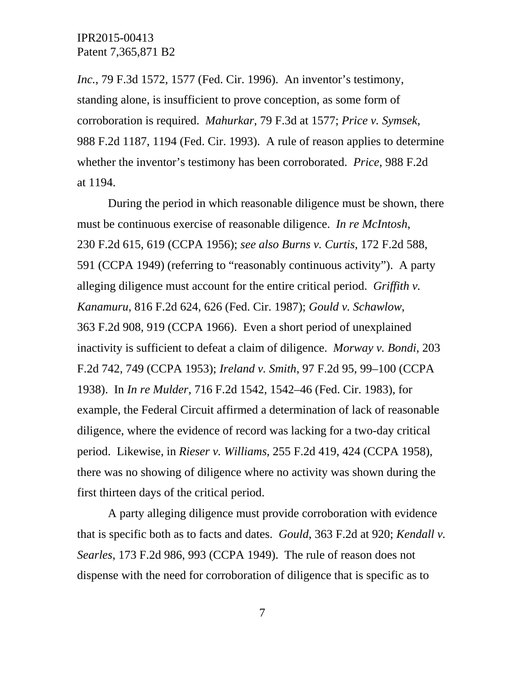*Inc.*, 79 F.3d 1572, 1577 (Fed. Cir. 1996). An inventor's testimony, standing alone, is insufficient to prove conception, as some form of corroboration is required. *Mahurkar*, 79 F.3d at 1577; *Price v. Symsek*, 988 F.2d 1187, 1194 (Fed. Cir. 1993). A rule of reason applies to determine whether the inventor's testimony has been corroborated. *Price*, 988 F.2d at 1194.

During the period in which reasonable diligence must be shown, there must be continuous exercise of reasonable diligence. *In re McIntosh*, 230 F.2d 615, 619 (CCPA 1956); *see also Burns v. Curtis*, 172 F.2d 588, 591 (CCPA 1949) (referring to "reasonably continuous activity"). A party alleging diligence must account for the entire critical period. *Griffith v. Kanamuru*, 816 F.2d 624, 626 (Fed. Cir. 1987); *Gould v. Schawlow*, 363 F.2d 908, 919 (CCPA 1966). Even a short period of unexplained inactivity is sufficient to defeat a claim of diligence. *Morway v. Bondi*, 203 F.2d 742, 749 (CCPA 1953); *Ireland v. Smith*, 97 F.2d 95, 99–100 (CCPA 1938). In *In re Mulder*, 716 F.2d 1542, 1542–46 (Fed. Cir. 1983), for example, the Federal Circuit affirmed a determination of lack of reasonable diligence, where the evidence of record was lacking for a two-day critical period. Likewise, in *Rieser v. Williams*, 255 F.2d 419, 424 (CCPA 1958), there was no showing of diligence where no activity was shown during the first thirteen days of the critical period.

A party alleging diligence must provide corroboration with evidence that is specific both as to facts and dates. *Gould*, 363 F.2d at 920; *Kendall v. Searles*, 173 F.2d 986, 993 (CCPA 1949). The rule of reason does not dispense with the need for corroboration of diligence that is specific as to

7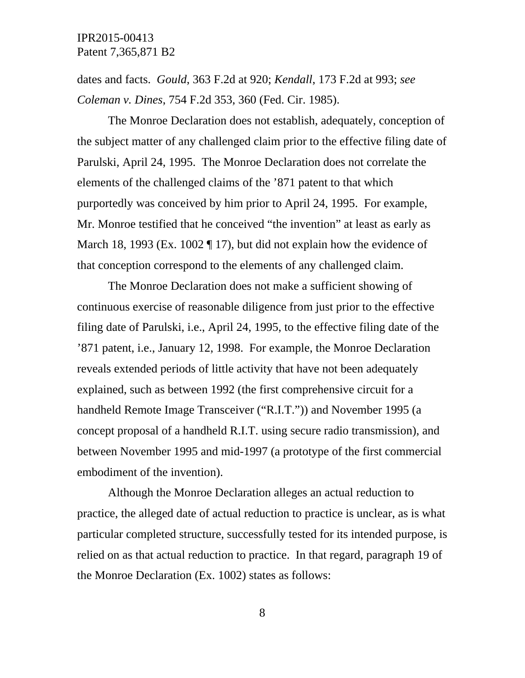dates and facts. *Gould*, 363 F.2d at 920; *Kendall*, 173 F.2d at 993; *see Coleman v. Dines*, 754 F.2d 353, 360 (Fed. Cir. 1985).

The Monroe Declaration does not establish, adequately, conception of the subject matter of any challenged claim prior to the effective filing date of Parulski, April 24, 1995. The Monroe Declaration does not correlate the elements of the challenged claims of the '871 patent to that which purportedly was conceived by him prior to April 24, 1995. For example, Mr. Monroe testified that he conceived "the invention" at least as early as March 18, 1993 (Ex. 1002 ¶ 17), but did not explain how the evidence of that conception correspond to the elements of any challenged claim.

The Monroe Declaration does not make a sufficient showing of continuous exercise of reasonable diligence from just prior to the effective filing date of Parulski, i.e., April 24, 1995, to the effective filing date of the '871 patent, i.e., January 12, 1998. For example, the Monroe Declaration reveals extended periods of little activity that have not been adequately explained, such as between 1992 (the first comprehensive circuit for a handheld Remote Image Transceiver ("R.I.T.")) and November 1995 (a concept proposal of a handheld R.I.T. using secure radio transmission), and between November 1995 and mid-1997 (a prototype of the first commercial embodiment of the invention).

Although the Monroe Declaration alleges an actual reduction to practice, the alleged date of actual reduction to practice is unclear, as is what particular completed structure, successfully tested for its intended purpose, is relied on as that actual reduction to practice. In that regard, paragraph 19 of the Monroe Declaration (Ex. 1002) states as follows:

8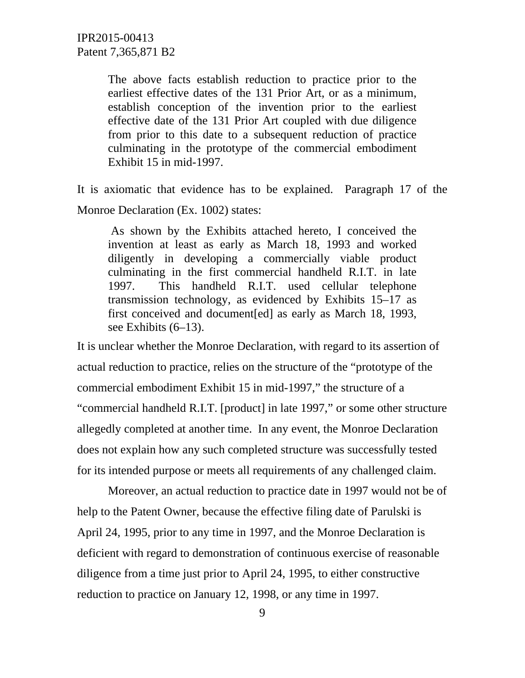The above facts establish reduction to practice prior to the earliest effective dates of the 131 Prior Art, or as a minimum, establish conception of the invention prior to the earliest effective date of the 131 Prior Art coupled with due diligence from prior to this date to a subsequent reduction of practice culminating in the prototype of the commercial embodiment Exhibit 15 in mid-1997.

It is axiomatic that evidence has to be explained. Paragraph 17 of the Monroe Declaration (Ex. 1002) states:

 As shown by the Exhibits attached hereto, I conceived the invention at least as early as March 18, 1993 and worked diligently in developing a commercially viable product culminating in the first commercial handheld R.I.T. in late 1997. This handheld R.I.T. used cellular telephone transmission technology, as evidenced by Exhibits 15–17 as first conceived and document[ed] as early as March 18, 1993, see Exhibits (6–13).

It is unclear whether the Monroe Declaration, with regard to its assertion of actual reduction to practice, relies on the structure of the "prototype of the commercial embodiment Exhibit 15 in mid-1997," the structure of a "commercial handheld R.I.T. [product] in late 1997," or some other structure allegedly completed at another time. In any event, the Monroe Declaration does not explain how any such completed structure was successfully tested for its intended purpose or meets all requirements of any challenged claim.

 Moreover, an actual reduction to practice date in 1997 would not be of help to the Patent Owner, because the effective filing date of Parulski is April 24, 1995, prior to any time in 1997, and the Monroe Declaration is deficient with regard to demonstration of continuous exercise of reasonable diligence from a time just prior to April 24, 1995, to either constructive reduction to practice on January 12, 1998, or any time in 1997.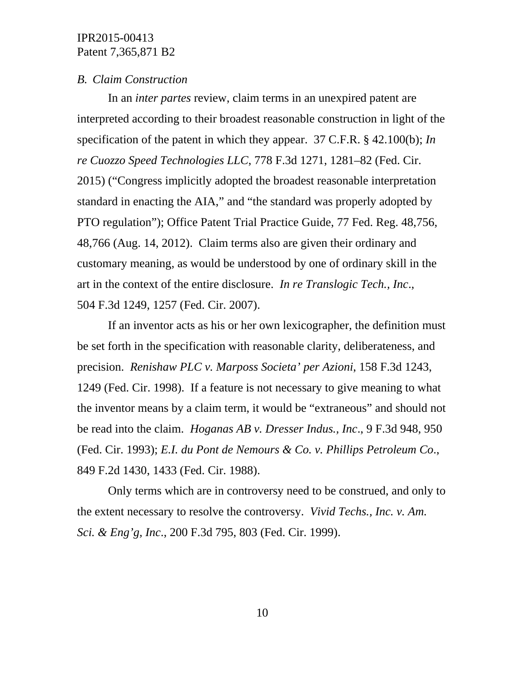#### *B. Claim Construction*

In an *inter partes* review, claim terms in an unexpired patent are interpreted according to their broadest reasonable construction in light of the specification of the patent in which they appear. 37 C.F.R. § 42.100(b); *In re Cuozzo Speed Technologies LLC*, 778 F.3d 1271, 1281–82 (Fed. Cir. 2015) ("Congress implicitly adopted the broadest reasonable interpretation standard in enacting the AIA," and "the standard was properly adopted by PTO regulation"); Office Patent Trial Practice Guide, 77 Fed. Reg. 48,756, 48,766 (Aug. 14, 2012). Claim terms also are given their ordinary and customary meaning, as would be understood by one of ordinary skill in the art in the context of the entire disclosure. *In re Translogic Tech., Inc*., 504 F.3d 1249, 1257 (Fed. Cir. 2007).

 If an inventor acts as his or her own lexicographer, the definition must be set forth in the specification with reasonable clarity, deliberateness, and precision. *Renishaw PLC v. Marposs Societa' per Azioni*, 158 F.3d 1243, 1249 (Fed. Cir. 1998). If a feature is not necessary to give meaning to what the inventor means by a claim term, it would be "extraneous" and should not be read into the claim. *Hoganas AB v. Dresser Indus., Inc*., 9 F.3d 948, 950 (Fed. Cir. 1993); *E.I. du Pont de Nemours & Co. v. Phillips Petroleum Co*., 849 F.2d 1430, 1433 (Fed. Cir. 1988).

 Only terms which are in controversy need to be construed, and only to the extent necessary to resolve the controversy. *Vivid Techs., Inc. v. Am. Sci. & Eng'g, Inc*., 200 F.3d 795, 803 (Fed. Cir. 1999).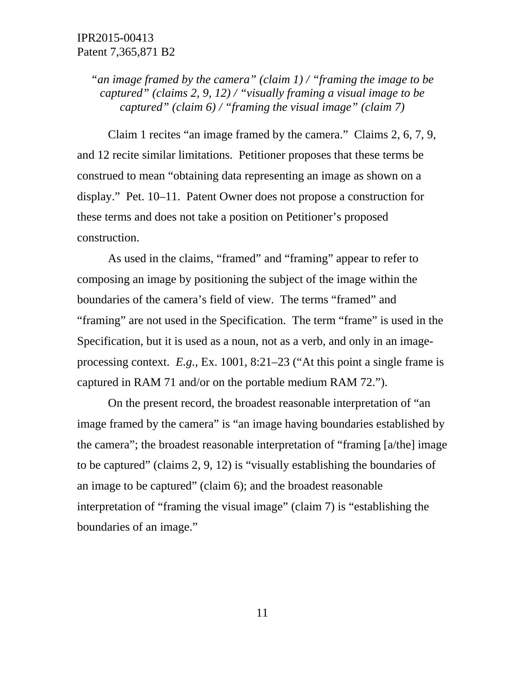*"an image framed by the camera" (claim 1) / "framing the image to be captured" (claims 2, 9, 12) / "visually framing a visual image to be captured" (claim 6) / "framing the visual image" (claim 7)* 

 Claim 1 recites "an image framed by the camera." Claims 2, 6, 7, 9, and 12 recite similar limitations. Petitioner proposes that these terms be construed to mean "obtaining data representing an image as shown on a display." Pet. 10–11. Patent Owner does not propose a construction for these terms and does not take a position on Petitioner's proposed construction.

 As used in the claims, "framed" and "framing" appear to refer to composing an image by positioning the subject of the image within the boundaries of the camera's field of view. The terms "framed" and "framing" are not used in the Specification. The term "frame" is used in the Specification, but it is used as a noun, not as a verb, and only in an imageprocessing context. *E.g.,* Ex. 1001, 8:21–23 ("At this point a single frame is captured in RAM 71 and/or on the portable medium RAM 72.").

 On the present record, the broadest reasonable interpretation of "an image framed by the camera" is "an image having boundaries established by the camera"; the broadest reasonable interpretation of "framing [a/the] image to be captured" (claims 2, 9, 12) is "visually establishing the boundaries of an image to be captured" (claim 6); and the broadest reasonable interpretation of "framing the visual image" (claim 7) is "establishing the boundaries of an image."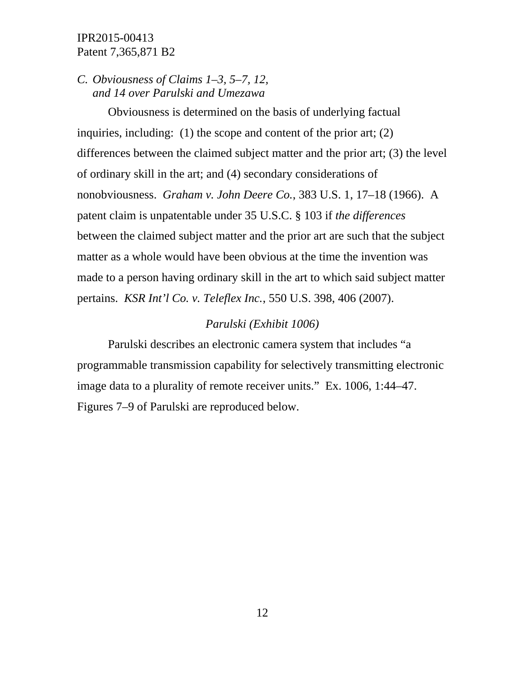## *C. Obviousness of Claims 1–3, 5–7, 12, and 14 over Parulski and Umezawa*

 Obviousness is determined on the basis of underlying factual inquiries, including: (1) the scope and content of the prior art; (2) differences between the claimed subject matter and the prior art; (3) the level of ordinary skill in the art; and (4) secondary considerations of nonobviousness. *Graham v. John Deere Co.*, 383 U.S. 1, 17–18 (1966). A patent claim is unpatentable under 35 U.S.C. § 103 if *the differences* between the claimed subject matter and the prior art are such that the subject matter as a whole would have been obvious at the time the invention was made to a person having ordinary skill in the art to which said subject matter pertains. *KSR Int'l Co. v. Teleflex Inc.*, 550 U.S. 398, 406 (2007).

### *Parulski (Exhibit 1006)*

 Parulski describes an electronic camera system that includes "a programmable transmission capability for selectively transmitting electronic image data to a plurality of remote receiver units." Ex. 1006, 1:44–47. Figures 7–9 of Parulski are reproduced below.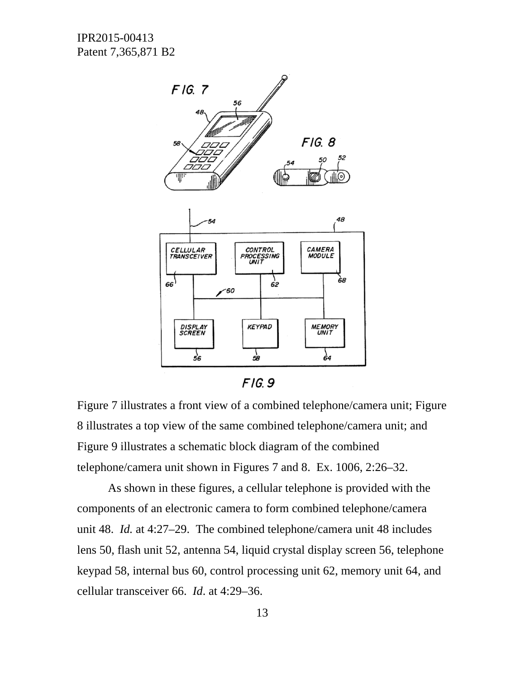

 $F/G.9$ 

Figure 7 illustrates a front view of a combined telephone/camera unit; Figure 8 illustrates a top view of the same combined telephone/camera unit; and Figure 9 illustrates a schematic block diagram of the combined telephone/camera unit shown in Figures 7 and 8. Ex. 1006, 2:26–32.

 As shown in these figures, a cellular telephone is provided with the components of an electronic camera to form combined telephone/camera unit 48. *Id.* at 4:27–29. The combined telephone/camera unit 48 includes lens 50, flash unit 52, antenna 54, liquid crystal display screen 56, telephone keypad 58, internal bus 60, control processing unit 62, memory unit 64, and cellular transceiver 66. *Id*. at 4:29–36.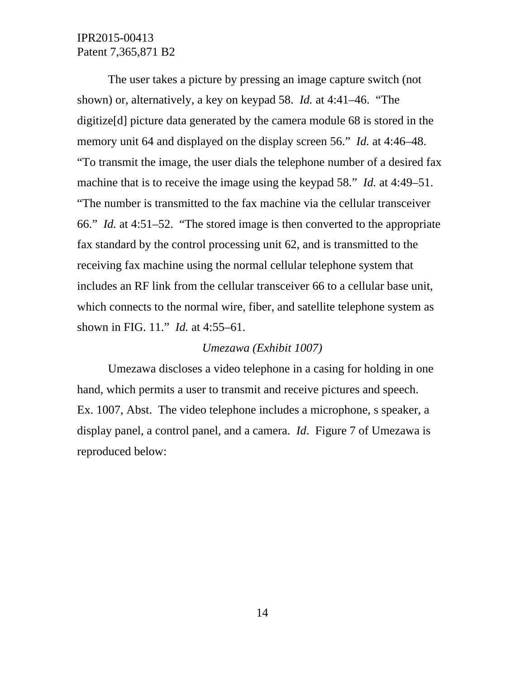The user takes a picture by pressing an image capture switch (not shown) or, alternatively, a key on keypad 58. *Id.* at 4:41–46. "The digitize[d] picture data generated by the camera module 68 is stored in the memory unit 64 and displayed on the display screen 56." *Id.* at 4:46–48. "To transmit the image, the user dials the telephone number of a desired fax machine that is to receive the image using the keypad 58." *Id.* at 4:49–51. "The number is transmitted to the fax machine via the cellular transceiver 66." *Id.* at 4:51–52. "The stored image is then converted to the appropriate fax standard by the control processing unit 62, and is transmitted to the receiving fax machine using the normal cellular telephone system that includes an RF link from the cellular transceiver 66 to a cellular base unit, which connects to the normal wire, fiber, and satellite telephone system as shown in FIG. 11." *Id.* at 4:55–61.

#### *Umezawa (Exhibit 1007)*

 Umezawa discloses a video telephone in a casing for holding in one hand, which permits a user to transmit and receive pictures and speech. Ex. 1007, Abst. The video telephone includes a microphone, s speaker, a display panel, a control panel, and a camera. *Id*. Figure 7 of Umezawa is reproduced below: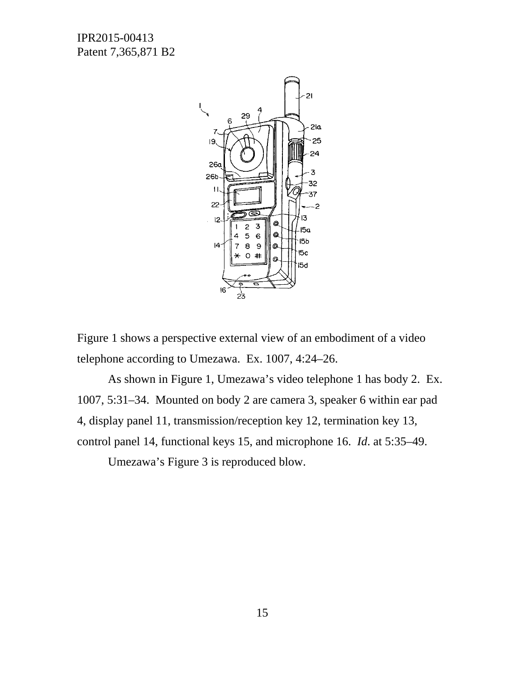

Figure 1 shows a perspective external view of an embodiment of a video telephone according to Umezawa. Ex. 1007, 4:24–26.

As shown in Figure 1, Umezawa's video telephone 1 has body 2. Ex. 1007, 5:31–34. Mounted on body 2 are camera 3, speaker 6 within ear pad 4, display panel 11, transmission/reception key 12, termination key 13, control panel 14, functional keys 15, and microphone 16. *Id*. at 5:35–49.

Umezawa's Figure 3 is reproduced blow.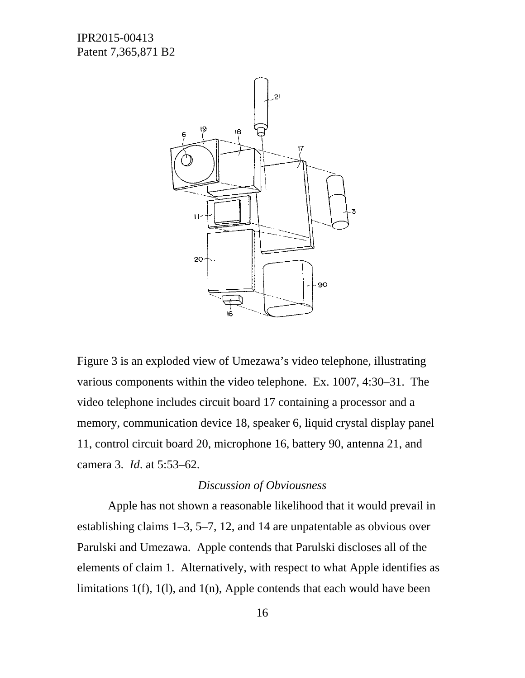

Figure 3 is an exploded view of Umezawa's video telephone, illustrating various components within the video telephone. Ex. 1007, 4:30–31. The video telephone includes circuit board 17 containing a processor and a memory, communication device 18, speaker 6, liquid crystal display panel 11, control circuit board 20, microphone 16, battery 90, antenna 21, and camera 3. *Id*. at 5:53–62.

### *Discussion of Obviousness*

Apple has not shown a reasonable likelihood that it would prevail in establishing claims 1–3, 5–7, 12, and 14 are unpatentable as obvious over Parulski and Umezawa. Apple contends that Parulski discloses all of the elements of claim 1. Alternatively, with respect to what Apple identifies as limitations 1(f), 1(l), and 1(n), Apple contends that each would have been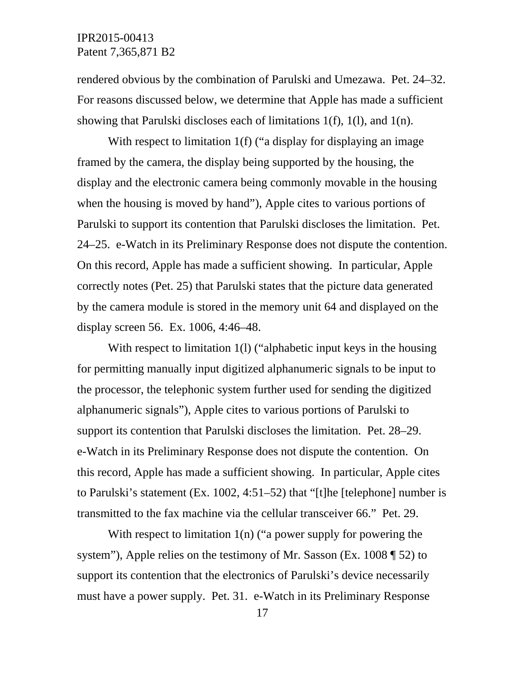rendered obvious by the combination of Parulski and Umezawa. Pet. 24–32. For reasons discussed below, we determine that Apple has made a sufficient showing that Parulski discloses each of limitations 1(f), 1(l), and 1(n).

With respect to limitation 1(f) ("a display for displaying an image framed by the camera, the display being supported by the housing, the display and the electronic camera being commonly movable in the housing when the housing is moved by hand"), Apple cites to various portions of Parulski to support its contention that Parulski discloses the limitation. Pet. 24–25. e-Watch in its Preliminary Response does not dispute the contention. On this record, Apple has made a sufficient showing. In particular, Apple correctly notes (Pet. 25) that Parulski states that the picture data generated by the camera module is stored in the memory unit 64 and displayed on the display screen 56. Ex. 1006, 4:46–48.

With respect to limitation 1(1) ("alphabetic input keys in the housing for permitting manually input digitized alphanumeric signals to be input to the processor, the telephonic system further used for sending the digitized alphanumeric signals"), Apple cites to various portions of Parulski to support its contention that Parulski discloses the limitation. Pet. 28–29. e-Watch in its Preliminary Response does not dispute the contention. On this record, Apple has made a sufficient showing. In particular, Apple cites to Parulski's statement (Ex. 1002, 4:51–52) that "[t]he [telephone] number is transmitted to the fax machine via the cellular transceiver 66." Pet. 29.

With respect to limitation 1(n) ("a power supply for powering the system"), Apple relies on the testimony of Mr. Sasson (Ex. 1008 \, 52) to support its contention that the electronics of Parulski's device necessarily must have a power supply. Pet. 31. e-Watch in its Preliminary Response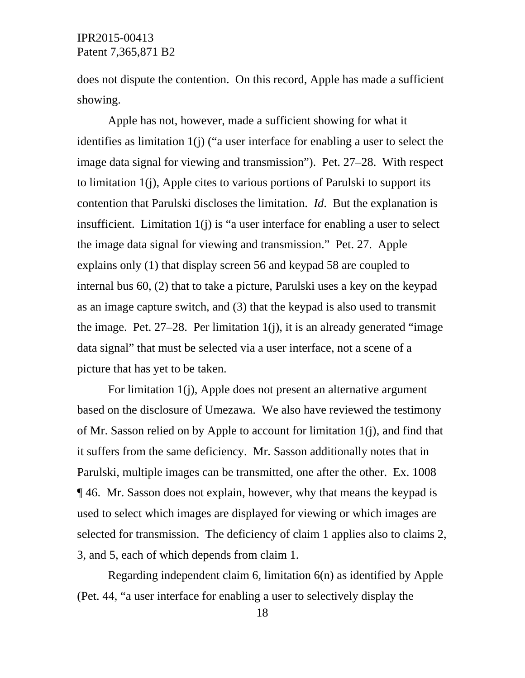does not dispute the contention. On this record, Apple has made a sufficient showing.

 Apple has not, however, made a sufficient showing for what it identifies as limitation 1(j) ("a user interface for enabling a user to select the image data signal for viewing and transmission"). Pet. 27–28. With respect to limitation 1(j), Apple cites to various portions of Parulski to support its contention that Parulski discloses the limitation. *Id*. But the explanation is insufficient. Limitation 1(j) is "a user interface for enabling a user to select the image data signal for viewing and transmission." Pet. 27. Apple explains only (1) that display screen 56 and keypad 58 are coupled to internal bus 60, (2) that to take a picture, Parulski uses a key on the keypad as an image capture switch, and (3) that the keypad is also used to transmit the image. Pet.  $27-28$ . Per limitation  $1(i)$ , it is an already generated "image" data signal" that must be selected via a user interface, not a scene of a picture that has yet to be taken.

 For limitation 1(j), Apple does not present an alternative argument based on the disclosure of Umezawa. We also have reviewed the testimony of Mr. Sasson relied on by Apple to account for limitation 1(j), and find that it suffers from the same deficiency. Mr. Sasson additionally notes that in Parulski, multiple images can be transmitted, one after the other. Ex. 1008 ¶ 46. Mr. Sasson does not explain, however, why that means the keypad is used to select which images are displayed for viewing or which images are selected for transmission. The deficiency of claim 1 applies also to claims 2, 3, and 5, each of which depends from claim 1.

 Regarding independent claim 6, limitation 6(n) as identified by Apple (Pet. 44, "a user interface for enabling a user to selectively display the

18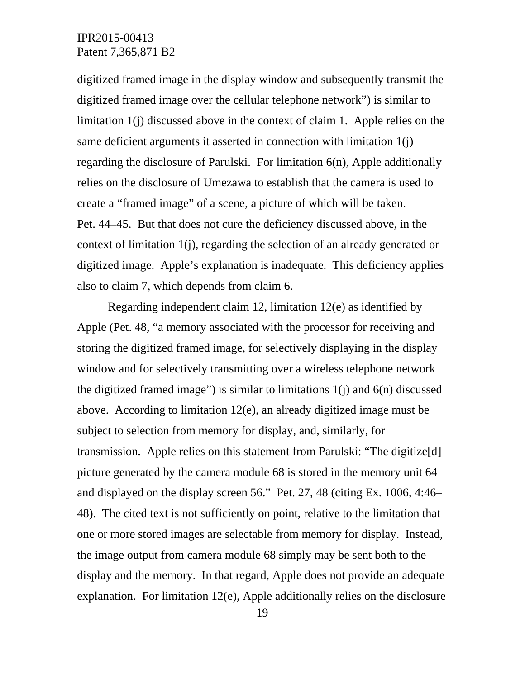digitized framed image in the display window and subsequently transmit the digitized framed image over the cellular telephone network") is similar to limitation 1(j) discussed above in the context of claim 1. Apple relies on the same deficient arguments it asserted in connection with limitation 1(j) regarding the disclosure of Parulski. For limitation 6(n), Apple additionally relies on the disclosure of Umezawa to establish that the camera is used to create a "framed image" of a scene, a picture of which will be taken. Pet. 44–45. But that does not cure the deficiency discussed above, in the context of limitation 1(j), regarding the selection of an already generated or digitized image. Apple's explanation is inadequate. This deficiency applies also to claim 7, which depends from claim 6.

 Regarding independent claim 12, limitation 12(e) as identified by Apple (Pet. 48, "a memory associated with the processor for receiving and storing the digitized framed image, for selectively displaying in the display window and for selectively transmitting over a wireless telephone network the digitized framed image") is similar to limitations  $1(i)$  and  $6(n)$  discussed above. According to limitation 12(e), an already digitized image must be subject to selection from memory for display, and, similarly, for transmission. Apple relies on this statement from Parulski: "The digitize[d] picture generated by the camera module 68 is stored in the memory unit 64 and displayed on the display screen 56." Pet. 27, 48 (citing Ex. 1006, 4:46– 48). The cited text is not sufficiently on point, relative to the limitation that one or more stored images are selectable from memory for display. Instead, the image output from camera module 68 simply may be sent both to the display and the memory. In that regard, Apple does not provide an adequate explanation. For limitation 12(e), Apple additionally relies on the disclosure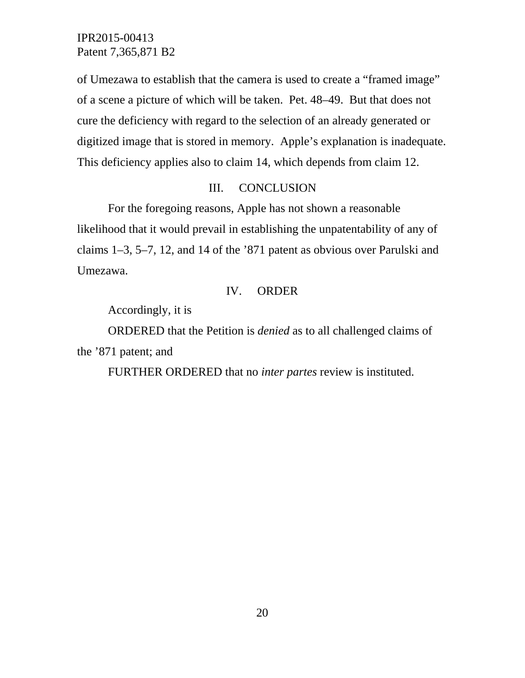of Umezawa to establish that the camera is used to create a "framed image" of a scene a picture of which will be taken. Pet. 48–49. But that does not cure the deficiency with regard to the selection of an already generated or digitized image that is stored in memory. Apple's explanation is inadequate. This deficiency applies also to claim 14, which depends from claim 12.

### III. CONCLUSION

 For the foregoing reasons, Apple has not shown a reasonable likelihood that it would prevail in establishing the unpatentability of any of claims 1–3, 5–7, 12, and 14 of the '871 patent as obvious over Parulski and Umezawa.

### IV. ORDER

Accordingly, it is

ORDERED that the Petition is *denied* as to all challenged claims of the '871 patent; and

FURTHER ORDERED that no *inter partes* review is instituted.